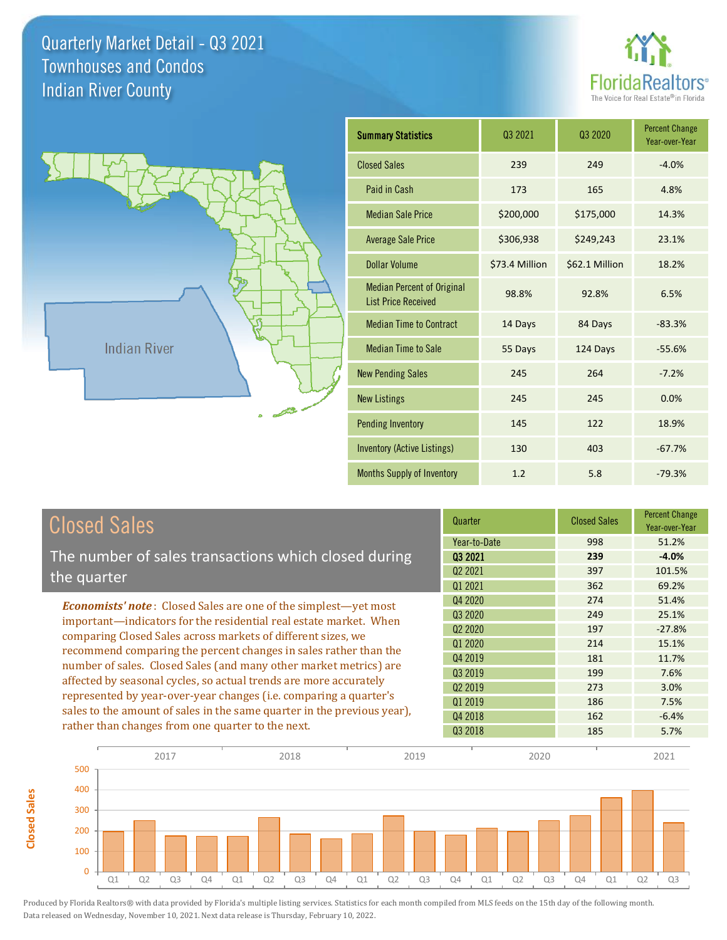**Closed Sales**

**Closed Sales** 





| <b>Summary Statistics</b>                                       | Q3 2021        | 03 2020        | <b>Percent Change</b><br>Year-over-Year |
|-----------------------------------------------------------------|----------------|----------------|-----------------------------------------|
| <b>Closed Sales</b>                                             | 239            | 249            | $-4.0%$                                 |
| Paid in Cash                                                    | 173            | 165            | 4.8%                                    |
| <b>Median Sale Price</b>                                        | \$200,000      | \$175,000      | 14.3%                                   |
| <b>Average Sale Price</b>                                       | \$306,938      | \$249,243      | 23.1%                                   |
| Dollar Volume                                                   | \$73.4 Million | \$62.1 Million | 18.2%                                   |
| <b>Median Percent of Original</b><br><b>List Price Received</b> | 98.8%          | 92.8%          | 6.5%                                    |
| <b>Median Time to Contract</b>                                  | 14 Days        | 84 Days        | $-83.3%$                                |
| <b>Median Time to Sale</b>                                      | 55 Days        | 124 Days       | $-55.6%$                                |
| <b>New Pending Sales</b>                                        | 245            | 264            | $-7.2%$                                 |
| <b>New Listings</b>                                             | 245            | 245            | 0.0%                                    |
| <b>Pending Inventory</b>                                        | 145            | 122            | 18.9%                                   |
| <b>Inventory (Active Listings)</b>                              | 130            | 403            | $-67.7%$                                |
| <b>Months Supply of Inventory</b>                               | 1.2            | 5.8            | $-79.3%$                                |

| <b>Closed Sales</b>                                                                                                                                                                                         | Quarter             | <b>Closed Sales</b> | <b>Percent Change</b><br>Year-over-Year |
|-------------------------------------------------------------------------------------------------------------------------------------------------------------------------------------------------------------|---------------------|---------------------|-----------------------------------------|
|                                                                                                                                                                                                             | Year-to-Date        | 998                 | 51.2%                                   |
| The number of sales transactions which closed during                                                                                                                                                        | 03 2021             | 239                 | $-4.0%$                                 |
| the quarter                                                                                                                                                                                                 | Q <sub>2</sub> 2021 | 397                 | 101.5%                                  |
|                                                                                                                                                                                                             | Q1 2021             | 362                 | 69.2%                                   |
| <b>Economists' note:</b> Closed Sales are one of the simplest—yet most                                                                                                                                      | Q4 2020             | 274                 | 51.4%                                   |
| important—indicators for the residential real estate market. When                                                                                                                                           | Q3 2020             | 249                 | 25.1%                                   |
| comparing Closed Sales across markets of different sizes, we<br>recommend comparing the percent changes in sales rather than the                                                                            | 02 2020             | 197                 | $-27.8%$                                |
|                                                                                                                                                                                                             | Q1 2020             | 214                 | 15.1%                                   |
|                                                                                                                                                                                                             | Q4 2019             | 181                 | 11.7%                                   |
| number of sales. Closed Sales (and many other market metrics) are<br>affected by seasonal cycles, so actual trends are more accurately<br>represented by year-over-year changes (i.e. comparing a quarter's | Q3 2019             | 199                 | 7.6%                                    |
|                                                                                                                                                                                                             | 02 2019             | 273                 | 3.0%                                    |
|                                                                                                                                                                                                             | Q1 2019             | 186                 | 7.5%                                    |
| sales to the amount of sales in the same quarter in the previous year),                                                                                                                                     | Q4 2018             | 162                 | $-6.4%$                                 |
| rather than changes from one quarter to the next.                                                                                                                                                           | 03 2018             | 185                 | 5.7%                                    |

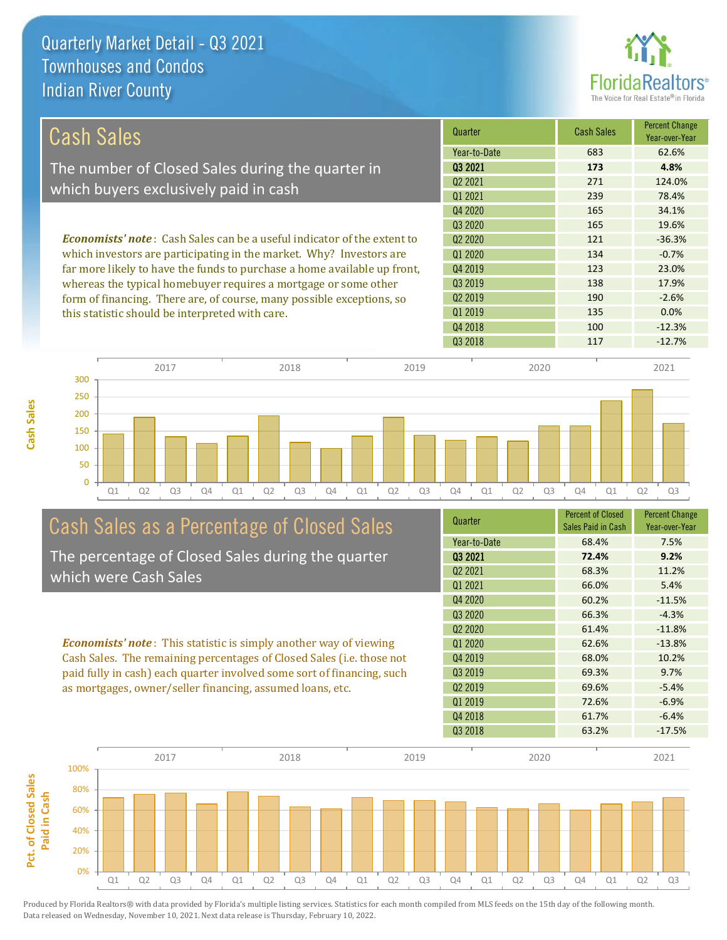

| Cash Sales                                                                     | Quarter             | <b>Cash Sales</b> | <b>Percent Change</b><br>Year-over-Year |
|--------------------------------------------------------------------------------|---------------------|-------------------|-----------------------------------------|
|                                                                                | Year-to-Date        | 683               | 62.6%                                   |
| The number of Closed Sales during the quarter in                               | 03 2021             | 173               | 4.8%                                    |
| which buyers exclusively paid in cash                                          | 02 2021             | 271               | 124.0%                                  |
|                                                                                | 01 2021             | 239               | 78.4%                                   |
|                                                                                | Q4 2020             | 165               | 34.1%                                   |
|                                                                                | 03 20 20            | 165               | 19.6%                                   |
| <b>Economists' note:</b> Cash Sales can be a useful indicator of the extent to | 02 2020             | 121               | $-36.3%$                                |
| which investors are participating in the market. Why? Investors are            | Q1 2020             | 134               | $-0.7%$                                 |
| far more likely to have the funds to purchase a home available up front,       | Q4 2019             | 123               | 23.0%                                   |
| whereas the typical homebuyer requires a mortgage or some other                | Q3 2019             | 138               | 17.9%                                   |
| form of financing. There are, of course, many possible exceptions, so          | Q <sub>2</sub> 2019 | 190               | $-2.6%$                                 |
| this statistic should be interpreted with care.                                | Q1 2019             | 135               | 0.0%                                    |
|                                                                                | Q4 2018             | 100               | $-12.3%$                                |



# Cash Sales as a Percentage of Closed Sales

The percentage of Closed Sales during the quarter which were Cash Sales

*Economists' note* : This statistic is simply another way of viewing Cash Sales. The remaining percentages of Closed Sales (i.e. those not paid fully in cash) each quarter involved some sort of financing, such as mortgages, owner/seller financing, assumed loans, etc.



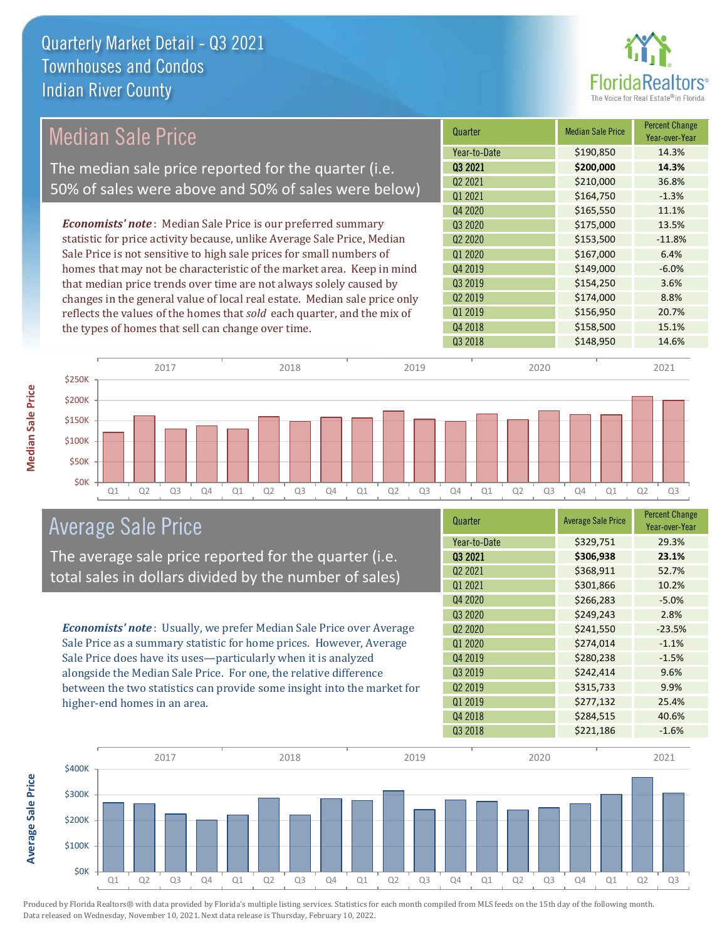

#### *Economists' note* : Median Sale Price is our preferred summary statistic for price activity because, unlike Average Sale Price, Median Sale Price is not sensitive to high sale prices for small numbers of homes that may not be characteristic of the market area. Keep in mind that median price trends over time are not always solely caused by changes in the general value of local real estate. Median sale price only reflects the values of the homes that *sold* each quarter, and the mix of the types of homes that sell can change over time. Q3 2018 **\$148,950** 14.6% Q1 2019 **\$156,950** \$156,950 20.7% Q4 2018 **\$158,500** 15.1% Q3 2019 \$154,250 3.6% Q2 2019 \$174,000 8.8% \$165,550 11.1% Q3 2020 \$175,000 13.5% Q4 2019 **\$149,000** -6.0% Q2 2021 \$210,000 36.8% Q1 2021 5164,750 5164,750 5164,750 5164,750 5164,750 5164,750 5164,750 5164,750 51 Q2 2020 \$153,500 -11.8% Q1 2020 \$167,000 6.4% Q4 2020 Quarter Median Sale Price Percent Change Year-over-Year Q3 2021 **\$200,000 14.3%** Year-to-Date \$190,850 14.3% \$150K \$200K \$250K 2017 2018 2019 2020 2021 Median Sale Price The median sale price reported for the quarter (i.e. 50% of sales were above and 50% of sales were below)



The average sale price reported for the quarter (i.e. total sales in dollars divided by the number of sales)

*Economists' note* : Usually, we prefer Median Sale Price over Average Sale Price as a summary statistic for home prices. However, Average Sale Price does have its uses—particularly when it is analyzed alongside the Median Sale Price. For one, the relative difference between the two statistics can provide some insight into the market for higher-end homes in an area.

| Quarter                         | <b>Average Sale Price</b> | <b>Percent Change</b><br>Year-over-Year |
|---------------------------------|---------------------------|-----------------------------------------|
| Year-to-Date                    | \$329,751                 | 29.3%                                   |
| 03 2021                         | \$306,938                 | 23.1%                                   |
| Q2 2021                         | \$368,911                 | 52.7%                                   |
| Q1 2021                         | \$301,866                 | 10.2%                                   |
| Q4 2020                         | \$266,283                 | $-5.0%$                                 |
| Q3 2020                         | \$249,243                 | 2.8%                                    |
| Q <sub>2</sub> 20 <sub>20</sub> | \$241,550                 | $-23.5%$                                |
| Q1 2020                         | \$274,014                 | $-1.1%$                                 |
| Q4 2019                         | \$280,238                 | $-1.5%$                                 |
| Q3 2019                         | \$242,414                 | 9.6%                                    |
| Q <sub>2</sub> 2019             | \$315,733                 | 9.9%                                    |
| Q1 2019                         | \$277,132                 | 25.4%                                   |
| Q4 2018                         | \$284,515                 | 40.6%                                   |
| Q3 2018                         | \$221,186                 | $-1.6%$                                 |



Produced by Florida Realtors® with data provided by Florida's multiple listing services. Statistics for each month compiled from MLS feeds on the 15th day of the following month. Data released on Wednesday, November 10, 2021. Next data release is Thursday, February 10, 2022.

**\$0K** \$50K \$100K

**Average Sale Price**

**Average Sale Price**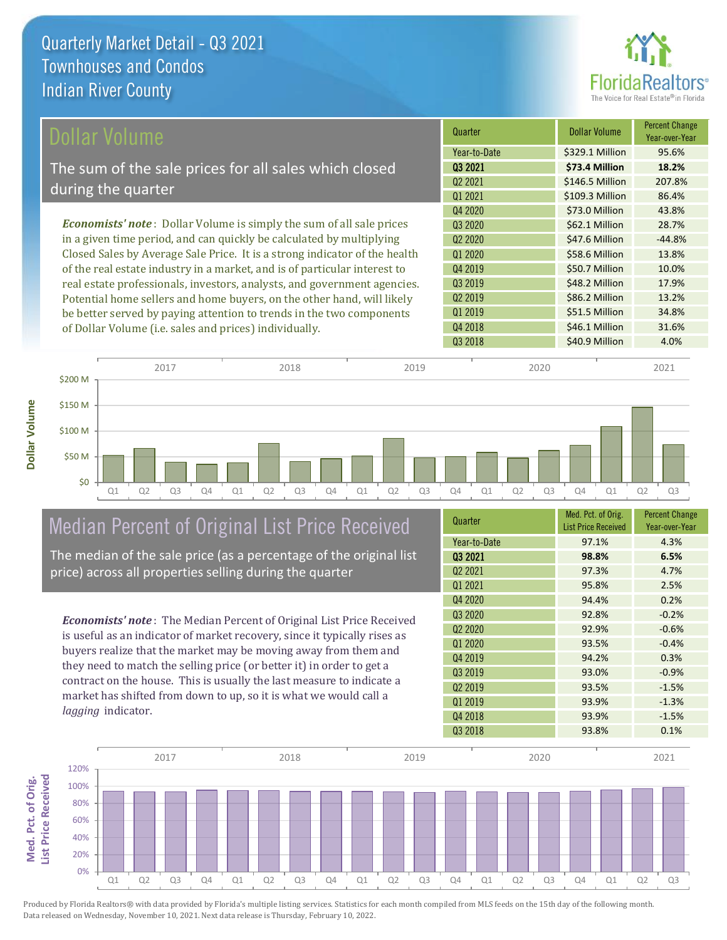

| Dollar Volume                                                                | Quarter             | <b>Dollar Volume</b> | <b>Percent Change</b><br>Year-over-Year |
|------------------------------------------------------------------------------|---------------------|----------------------|-----------------------------------------|
|                                                                              | Year-to-Date        | \$329.1 Million      | 95.6%                                   |
| The sum of the sale prices for all sales which closed                        | 03 2021             | \$73.4 Million       | 18.2%                                   |
|                                                                              | Q <sub>2</sub> 2021 | \$146.5 Million      | 207.8%                                  |
| during the quarter                                                           | Q1 2021             | \$109.3 Million      | 86.4%                                   |
|                                                                              | Q4 2020             | \$73.0 Million       | 43.8%                                   |
| <b>Economists' note</b> : Dollar Volume is simply the sum of all sale prices | Q3 2020             | \$62.1 Million       | 28.7%                                   |
| in a given time period, and can quickly be calculated by multiplying         | 02 2020             | \$47.6 Million       | $-44.8%$                                |
| Closed Sales by Average Sale Price. It is a strong indicator of the health   | Q1 2020             | \$58.6 Million       | 13.8%                                   |
| of the real estate industry in a market, and is of particular interest to    | Q4 2019             | \$50.7 Million       | 10.0%                                   |
| real estate professionals, investors, analysts, and government agencies.     | 03 2019             | \$48.2 Million       | 17.9%                                   |
| Potential home sellers and home buyers, on the other hand, will likely       | Q <sub>2</sub> 2019 | \$86.2 Million       | 13.2%                                   |
| be better served by paying attention to trends in the two components         | Q1 2019             | \$51.5 Million       | 34.8%                                   |

Q1 Q2 Q3 Q4 Q1 Q2 Q3 Q4 Q1 Q2 Q3 Q4 Q1 Q2 Q3 Q4 Q1 Q2 Q3 \$0 \$50 M \$100 M \$150 M \$200 M 2017 2018 2019 2020 2021

## Median Percent of Original List Price Received

of Dollar Volume (i.e. sales and prices) individually.

The median of the sale price (as a percentage of the original list price) across all properties selling during the quarter

*Economists' note* : The Median Percent of Original List Price Received is useful as an indicator of market recovery, since it typically rises as buyers realize that the market may be moving away from them and they need to match the selling price (or better it) in order to get a contract on the house. This is usually the last measure to indicate a market has shifted from down to up, so it is what we would call a *lagging* indicator.

| Quarter                         | Med. Pct. of Orig.<br><b>List Price Received</b> | <b>Percent Change</b><br>Year-over-Year |
|---------------------------------|--------------------------------------------------|-----------------------------------------|
| Year-to-Date                    | 97.1%                                            | 4.3%                                    |
| 03 2021                         | 98.8%                                            | 6.5%                                    |
| Q <sub>2</sub> 2021             | 97.3%                                            | 4.7%                                    |
| 01 2021                         | 95.8%                                            | 2.5%                                    |
| Q4 2020                         | 94.4%                                            | 0.2%                                    |
| Q3 2020                         | 92.8%                                            | $-0.2%$                                 |
| Q <sub>2</sub> 20 <sub>20</sub> | 92.9%                                            | $-0.6%$                                 |
| Q1 2020                         | 93.5%                                            | $-0.4%$                                 |
| Q4 2019                         | 94.2%                                            | 0.3%                                    |
| Q3 2019                         | 93.0%                                            | $-0.9%$                                 |
| Q <sub>2</sub> 2019             | 93.5%                                            | $-1.5%$                                 |
| Q1 2019                         | 93.9%                                            | $-1.3%$                                 |
| Q4 2018                         | 93.9%                                            | $-1.5%$                                 |
| Q3 2018                         | 93.8%                                            | 0.1%                                    |

Q4 2018 **\$46.1 Million 31.6%** 

Q3 2018 **\$40.9 Million 4.0%** 

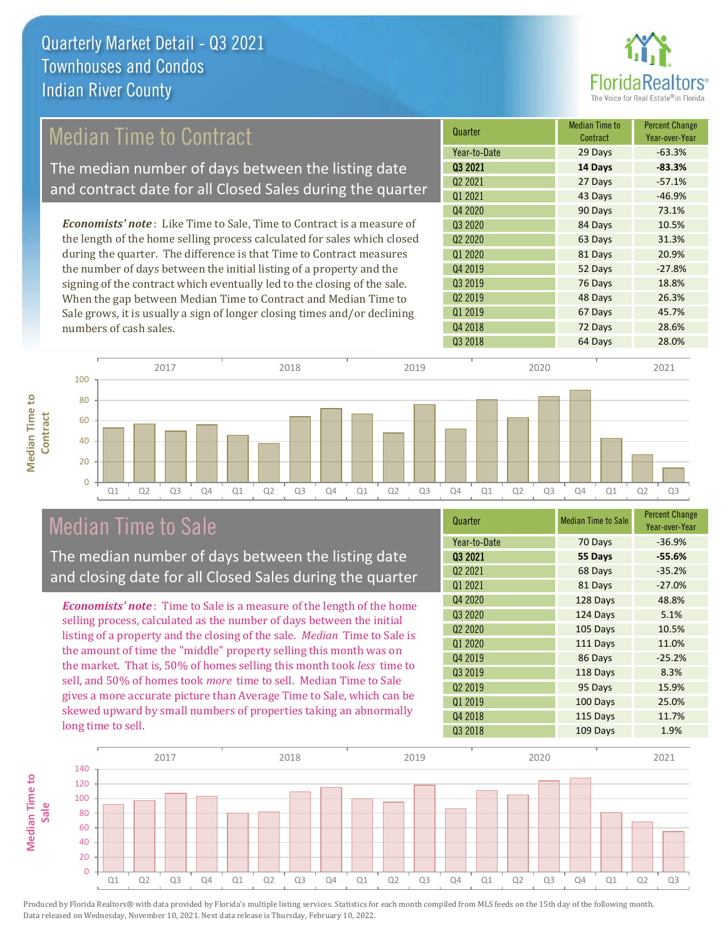

## Median Time to Contract

The median number of days between the listing date and contract date for all Closed Sales during the quarter

*Economists' note* : Like Time to Sale, Time to Contract is a measure of the length of the home selling process calculated for sales which closed during the quarter. The difference is that Time to Contract measures the number of days between the initial listing of a property and the signing of the contract which eventually led to the closing of the sale. When the gap between Median Time to Contract and Median Time to Sale grows, it is usually a sign of longer closing times and/or declining numbers of cash sales.



#### 2017 2018 2019 2020 2021 100 **Median Time to Median Time to**  80 **Contract** 60 40  $20$  $\Omega$ Q1 Q2 Q3 Q4 Q1 Q2 Q3 Q4 Q1 Q2 Q3 Q4 Q1 Q2 Q3 Q4 Q1 Q2 Q3

### Median Time to Sale

The median number of days between the listing date and closing date for all Closed Sales during the quarter

*Economists' note* : Time to Sale is a measure of the length of the home selling process, calculated as the number of days between the initial listing of a property and the closing of the sale. *Median* Time to Sale is the amount of time the "middle" property selling this month was on the market. That is, 50% of homes selling this month took *less* time to sell, and 50% of homes took *more* time to sell. Median Time to Sale gives a more accurate picture than Average Time to Sale, which can be skewed upward by small numbers of properties taking an abnormally long time to sell.

| Quarter                         | <b>Median Time to Sale</b> | <b>Percent Change</b><br>Year-over-Year |
|---------------------------------|----------------------------|-----------------------------------------|
| Year-to-Date                    | 70 Days                    | $-36.9%$                                |
| 03 2021                         | 55 Days                    | $-55.6%$                                |
| Q <sub>2</sub> 2021             | 68 Days                    | $-35.2%$                                |
| Q1 2021                         | 81 Days                    | $-27.0%$                                |
| Q4 2020                         | 128 Days                   | 48.8%                                   |
| Q3 2020                         | 124 Days                   | 5.1%                                    |
| Q <sub>2</sub> 20 <sub>20</sub> | 105 Days                   | 10.5%                                   |
| Q1 2020                         | 111 Days                   | 11.0%                                   |
| Q4 2019                         | 86 Days                    | $-25.2%$                                |
| Q3 2019                         | 118 Days                   | 8.3%                                    |
| Q <sub>2</sub> 2019             | 95 Days                    | 15.9%                                   |
| Q1 2019                         | 100 Days                   | 25.0%                                   |
| Q4 2018                         | 115 Days                   | 11.7%                                   |
| Q3 2018                         | 109 Days                   | 1.9%                                    |

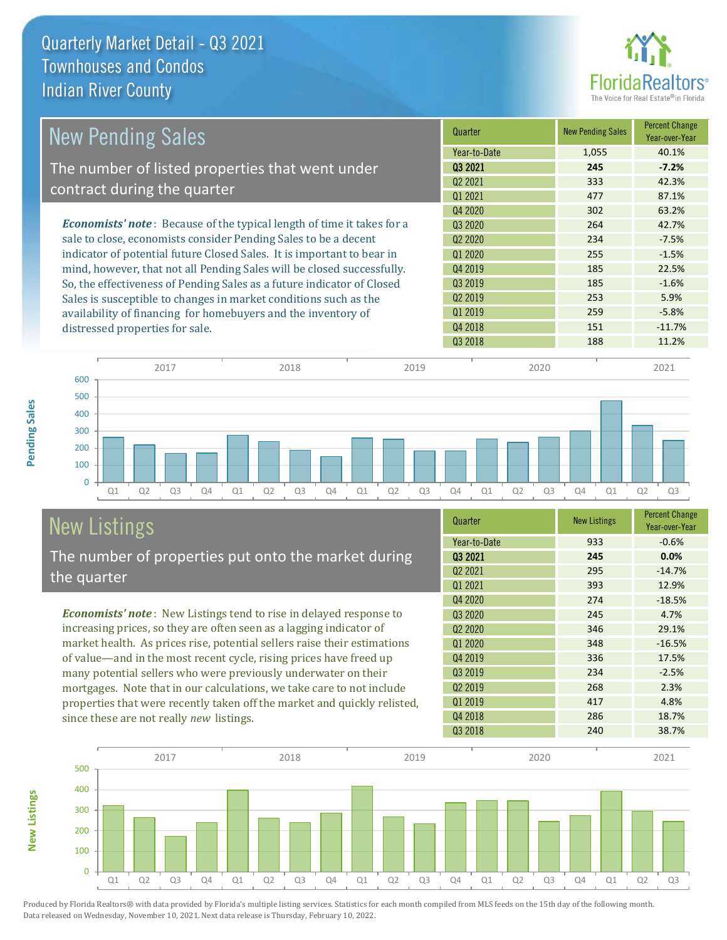

| <b>New Pending Sales</b>                                                      | Quarter             | <b>New Pending Sales</b> | <b>Percent Change</b><br>Year-over-Year |
|-------------------------------------------------------------------------------|---------------------|--------------------------|-----------------------------------------|
|                                                                               | Year-to-Date        | 1,055                    | 40.1%                                   |
| The number of listed properties that went under                               | 03 2021             | 245                      | $-7.2%$                                 |
| contract during the quarter                                                   | Q <sub>2</sub> 2021 | 333                      | 42.3%                                   |
|                                                                               | Q1 2021             | 477                      | 87.1%                                   |
|                                                                               | Q4 2020             | 302                      | 63.2%                                   |
| <b>Economists' note:</b> Because of the typical length of time it takes for a | 03 2020             | 264                      | 42.7%                                   |
| sale to close, economists consider Pending Sales to be a decent               | Q <sub>2</sub> 2020 | 234                      | $-7.5%$                                 |
| indicator of potential future Closed Sales. It is important to bear in        | Q1 2020             | 255                      | $-1.5%$                                 |
| mind, however, that not all Pending Sales will be closed successfully.        | Q4 2019             | 185                      | 22.5%                                   |
| So, the effectiveness of Pending Sales as a future indicator of Closed        | 03 2019             | 185                      | $-1.6%$                                 |
| Sales is susceptible to changes in market conditions such as the              | Q <sub>2</sub> 2019 | 253                      | 5.9%                                    |
| availability of financing for homebuyers and the inventory of                 | Q1 2019             | 259                      | $-5.8%$                                 |
| distressed properties for sale.                                               | Q4 2018             | 151                      | $-11.7%$                                |
|                                                                               | 03 2018             | 188                      | 11.2%                                   |



## New Listings

The number of properties put onto the market during the quarter

*Economists' note* : New Listings tend to rise in delayed response to increasing prices, so they are often seen as a lagging indicator of market health. As prices rise, potential sellers raise their estimations of value—and in the most recent cycle, rising prices have freed up many potential sellers who were previously underwater on their mortgages. Note that in our calculations, we take care to not include properties that were recently taken off the market and quickly relisted, since these are not really *new* listings.

| Quarter                         | <b>New Listings</b> | <b>Percent Change</b><br>Year-over-Year |
|---------------------------------|---------------------|-----------------------------------------|
| Year-to-Date                    | 933                 | $-0.6%$                                 |
| 03 2021                         | 245                 | 0.0%                                    |
| 02 2021                         | 295                 | $-14.7%$                                |
| Q1 2021                         | 393                 | 12.9%                                   |
| Q4 2020                         | 274                 | $-18.5%$                                |
| Q3 2020                         | 245                 | 4.7%                                    |
| Q <sub>2</sub> 20 <sub>20</sub> | 346                 | 29.1%                                   |
| Q1 2020                         | 348                 | $-16.5%$                                |
| Q4 2019                         | 336                 | 17.5%                                   |
| Q3 2019                         | 234                 | $-2.5%$                                 |
| Q <sub>2</sub> 2019             | 268                 | 2.3%                                    |
| Q1 2019                         | 417                 | 4.8%                                    |
| Q4 2018                         | 286                 | 18.7%                                   |
| Q3 2018                         | 240                 | 38.7%                                   |



Produced by Florida Realtors® with data provided by Florida's multiple listing services. Statistics for each month compiled from MLS feeds on the 15th day of the following month. Data released on Wednesday, November 10, 2021. Next data release is Thursday, February 10, 2022.

**New Listings**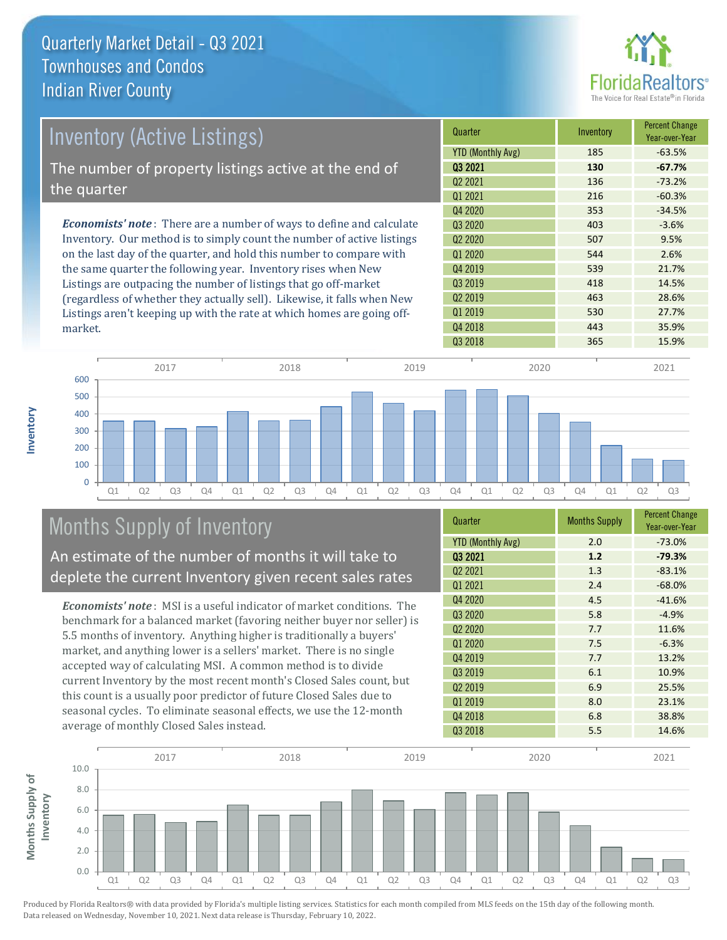

| Inventory (Active Listings)                                                  | Quarter                  | Inventory | <b>Percent Change</b><br>Year-over-Year |
|------------------------------------------------------------------------------|--------------------------|-----------|-----------------------------------------|
|                                                                              | <b>YTD (Monthly Avg)</b> | 185       | $-63.5%$                                |
| The number of property listings active at the end of                         | 03 2021                  | 130       | $-67.7%$                                |
|                                                                              | Q <sub>2</sub> 2021      | 136       | $-73.2%$                                |
| the quarter                                                                  | 01 2021                  | 216       | $-60.3%$                                |
|                                                                              | 04 2020                  | 353       | $-34.5%$                                |
| <b>Economists' note</b> : There are a number of ways to define and calculate | 03 20 20                 | 403       | $-3.6%$                                 |
| Inventory. Our method is to simply count the number of active listings       | 02 2020                  | 507       | 9.5%                                    |
| on the last day of the quarter, and hold this number to compare with         | Q1 2020                  | 544       | 2.6%                                    |
| the same quarter the following year. Inventory rises when New                | 04 2019                  | 539       | 21.7%                                   |
| Listings are outpacing the number of listings that go off-market             | 03 2019                  | 418       | 14.5%                                   |
| (regardless of whether they actually sell) Likewise it falls when New        | 02 2019                  | 463       | 28.6%                                   |

(regardless of whether they actually sell). Likewise, it falls when New Listings aren't keeping up with the rate at which homes are going offmarket.

**Inventory**



# Months Supply of Inventory

An estimate of the number of months it will take to deplete the current Inventory given recent sales rates

*Economists' note* : MSI is a useful indicator of market conditions. The benchmark for a balanced market (favoring neither buyer nor seller) is 5.5 months of inventory. Anything higher is traditionally a buyers' market, and anything lower is a sellers' market. There is no single accepted way of calculating MSI. A common method is to divide current Inventory by the most recent month's Closed Sales count, but this count is a usually poor predictor of future Closed Sales due to seasonal cycles. To eliminate seasonal effects, we use the 12-month average of monthly Closed Sales instead.

| Quarter                         | <b>Months Supply</b> | <b>Percent Change</b><br>Year-over-Year |
|---------------------------------|----------------------|-----------------------------------------|
| <b>YTD (Monthly Avg)</b>        | 2.0                  | $-73.0%$                                |
| 03 2021                         | 1.2                  | $-79.3%$                                |
| 02 2021                         | 1.3                  | $-83.1%$                                |
| Q1 2021                         | 2.4                  | $-68.0%$                                |
| Q4 2020                         | 4.5                  | $-41.6%$                                |
| Q3 2020                         | 5.8                  | $-4.9%$                                 |
| Q <sub>2</sub> 20 <sub>20</sub> | 7.7                  | 11.6%                                   |
| Q1 2020                         | 7.5                  | $-6.3%$                                 |
| Q4 2019                         | 7.7                  | 13.2%                                   |
| Q3 2019                         | 6.1                  | 10.9%                                   |
| Q <sub>2</sub> 2019             | 6.9                  | 25.5%                                   |
| Q1 2019                         | 8.0                  | 23.1%                                   |
| Q4 2018                         | 6.8                  | 38.8%                                   |
| Q3 2018                         | 5.5                  | 14.6%                                   |

Q1 2019 **530** 27.7% Q4 2018 **443** 35.9%

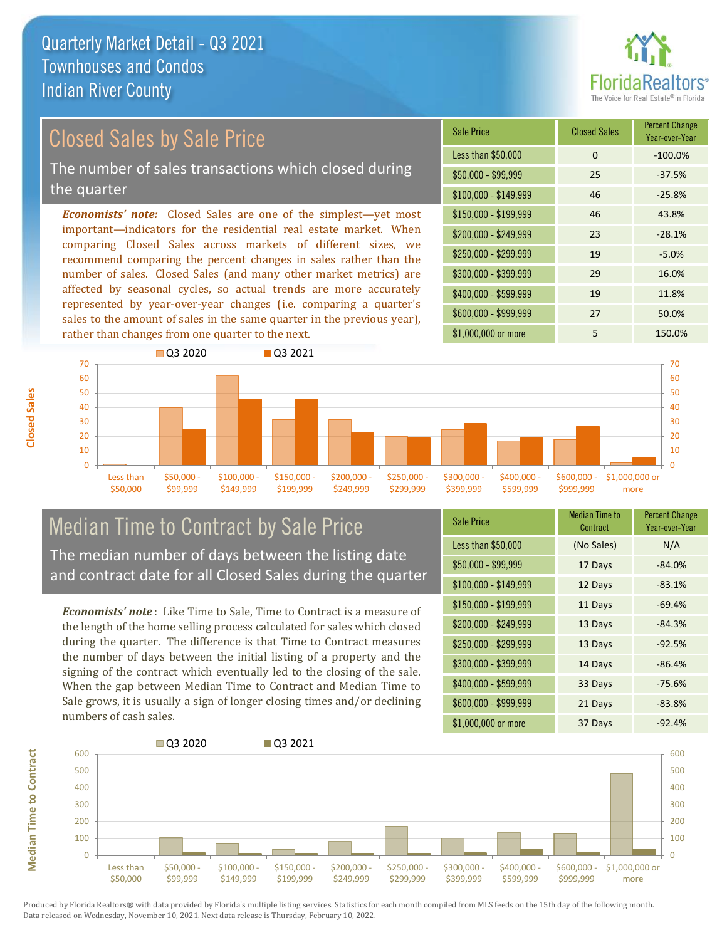

## Closed Sales by Sale Price

The number of sales transactions which closed during the quarter

*Economists' note:* Closed Sales are one of the simplest—yet most important—indicators for the residential real estate market. When comparing Closed Sales across markets of different sizes, we recommend comparing the percent changes in sales rather than the number of sales. Closed Sales (and many other market metrics) are affected by seasonal cycles, so actual trends are more accurately represented by year-over-year changes (i.e. comparing a quarter's sales to the amount of sales in the same quarter in the previous year), rather than changes from one quarter to the next.

| <b>Sale Price</b>     | <b>Closed Sales</b> | <b>Percent Change</b><br>Year-over-Year |
|-----------------------|---------------------|-----------------------------------------|
| Less than \$50,000    | 0                   | $-100.0%$                               |
| \$50,000 - \$99,999   | 25                  | $-37.5%$                                |
| $$100,000 - $149,999$ | 46                  | $-25.8%$                                |
| $$150,000 - $199,999$ | 46                  | 43.8%                                   |
| \$200,000 - \$249,999 | 23                  | $-28.1%$                                |
| \$250,000 - \$299,999 | 19                  | $-5.0%$                                 |
| \$300,000 - \$399,999 | 29                  | 16.0%                                   |
| \$400,000 - \$599,999 | 19                  | 11.8%                                   |
| \$600,000 - \$999,999 | 27                  | 50.0%                                   |
| \$1,000,000 or more   | 5                   | 150.0%                                  |



# Median Time to Contract by Sale Price The median number of days between the listing date

and contract date for all Closed Sales during the quarter

*Economists' note* : Like Time to Sale, Time to Contract is a measure of the length of the home selling process calculated for sales which closed during the quarter. The difference is that Time to Contract measures the number of days between the initial listing of a property and the signing of the contract which eventually led to the closing of the sale. When the gap between Median Time to Contract and Median Time to Sale grows, it is usually a sign of longer closing times and/or declining numbers of cash sales.

| <b>Sale Price</b>     | <b>Median Time to</b><br>Contract | <b>Percent Change</b><br>Year-over-Year |
|-----------------------|-----------------------------------|-----------------------------------------|
| Less than \$50,000    | (No Sales)                        | N/A                                     |
| $$50,000 - $99,999$   | 17 Days                           | $-84.0%$                                |
| $$100,000 - $149,999$ | 12 Days                           | $-83.1%$                                |
| \$150,000 - \$199,999 | 11 Days                           | $-69.4%$                                |
| \$200,000 - \$249,999 | 13 Days                           | $-84.3%$                                |
| \$250,000 - \$299,999 | 13 Days                           | $-92.5%$                                |
| \$300,000 - \$399,999 | 14 Days                           | $-86.4%$                                |
| \$400,000 - \$599,999 | 33 Days                           | $-75.6%$                                |
| \$600,000 - \$999,999 | 21 Days                           | $-83.8%$                                |
| \$1,000,000 or more   | 37 Days                           | $-92.4%$                                |



Produced by Florida Realtors® with data provided by Florida's multiple listing services. Statistics for each month compiled from MLS feeds on the 15th day of the following month. Data released on Wednesday, November 10, 2021. Next data release is Thursday, February 10, 2022.

**Median Time to Contract**

**Median Time to Contract**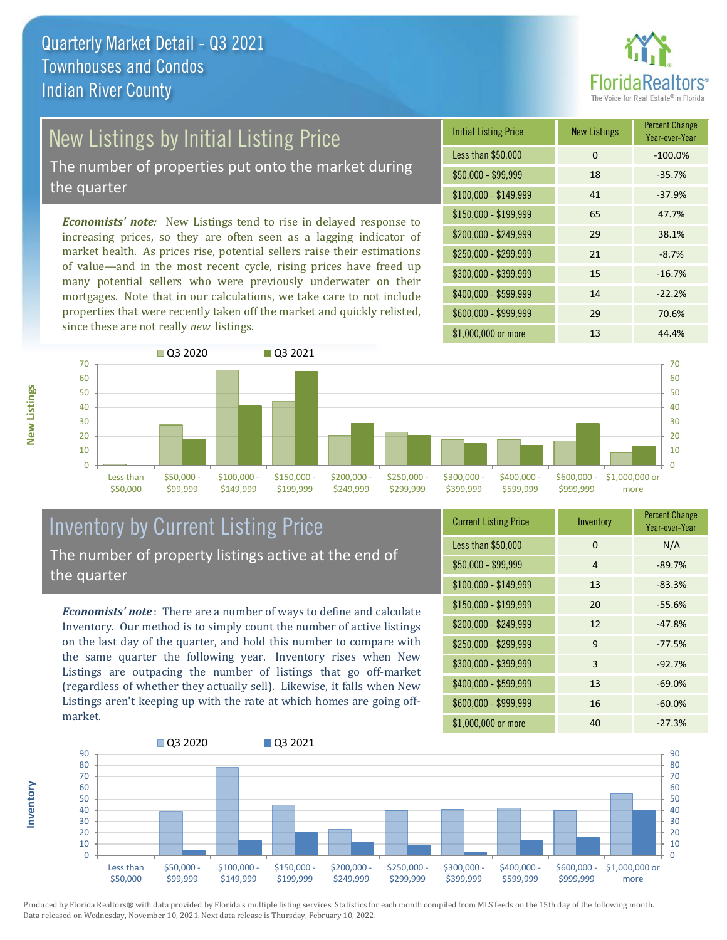

## New Listings by Initial Listing Price

The number of properties put onto the market during the quarter

*Economists' note:* New Listings tend to rise in delayed response to increasing prices, so they are often seen as a lagging indicator of market health. As prices rise, potential sellers raise their estimations of value—and in the most recent cycle, rising prices have freed up many potential sellers who were previously underwater on their mortgages. Note that in our calculations, we take care to not include properties that were recently taken off the market and quickly relisted, since these are not really *new* listings.

| <b>Initial Listing Price</b> | <b>New Listings</b> | <b>Percent Change</b><br>Year-over-Year |
|------------------------------|---------------------|-----------------------------------------|
| Less than \$50,000           | 0                   | $-100.0%$                               |
| $$50,000 - $99,999$          | 18                  | $-35.7%$                                |
| $$100,000 - $149,999$        | 41                  | $-37.9%$                                |
| $$150,000 - $199,999$        | 65                  | 47.7%                                   |
| \$200,000 - \$249,999        | 29                  | 38.1%                                   |
| \$250,000 - \$299,999        | 21                  | $-8.7%$                                 |
| \$300,000 - \$399,999        | 15                  | $-16.7%$                                |
| \$400,000 - \$599,999        | 14                  | $-22.2%$                                |
| \$600,000 - \$999,999        | 29                  | 70.6%                                   |
| \$1,000,000 or more          | 13                  | 44.4%                                   |



#### Inventory by Current Listing Price The number of property listings active at the end of the quarter

*Economists' note* : There are a number of ways to define and calculate Inventory. Our method is to simply count the number of active listings on the last day of the quarter, and hold this number to compare with the same quarter the following year. Inventory rises when New Listings are outpacing the number of listings that go off-market (regardless of whether they actually sell). Likewise, it falls when New Listings aren't keeping up with the rate at which homes are going offmarket.

| <b>Current Listing Price</b> | Inventory | <b>Percent Change</b><br>Year-over-Year |
|------------------------------|-----------|-----------------------------------------|
| Less than \$50,000           | 0         | N/A                                     |
| $$50,000 - $99,999$          | 4         | $-89.7%$                                |
| $$100,000 - $149,999$        | 13        | $-83.3%$                                |
| $$150,000 - $199,999$        | 20        | $-55.6%$                                |
| \$200,000 - \$249,999        | 12        | $-47.8%$                                |
| \$250,000 - \$299,999        | 9         | $-77.5%$                                |
| \$300,000 - \$399,999        | 3         | $-92.7%$                                |
| \$400,000 - \$599,999        | 13        | $-69.0%$                                |
| \$600,000 - \$999,999        | 16        | $-60.0%$                                |
| \$1,000,000 or more          | 40        | $-27.3%$                                |



Produced by Florida Realtors® with data provided by Florida's multiple listing services. Statistics for each month compiled from MLS feeds on the 15th day of the following month. Data released on Wednesday, November 10, 2021. Next data release is Thursday, February 10, 2022.

**Inventory**